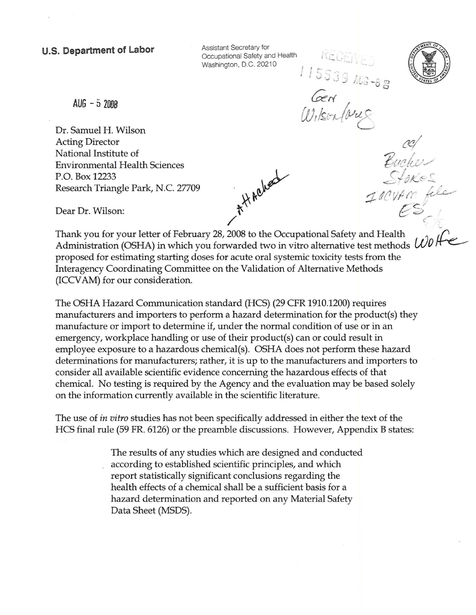**U.S. Department of Labor** *Decupational Safety for**Decupational Safety and Health* **...** Washington, D.C. 20210

 $\overline{\phantom{a}}$ 

 $A UG - 5$  2008

Dr. Samuel H. Wilson Acting Director National Institute of Environmental Health Sciences P.O. Box 12233 Research Triangle Park, N.C. 27709 Dear Dr. Wilson:<br>Thank you for your letter of February 28, 2008 to the Occupational Safety and Health

 $\frac{115539800088}{660}$ ad<br>Bucher<br>Turnon file<br>Turnon file

Dear Dr. Wilson:

Administration (OSHA) in which you forwarded two in vitro alternative test methods *U)O*  proposed for estimating starting doses for acute oral systemic toxicity tests from the Interagency Coordinating Committee on the Validation of Alternative Methods (ICCV AM) for our consideration.

The OSHA Hazard Communication standard (HCS) (29 CFR 1910.1200) requires manufacturers and importers to perform a hazard determination for the product(s) they manufacture or import to determine if, under the normal condition of use or in an emergency, workplace handling or use of their product(s) can or could result in employee exposure to a hazardous chemical(s). OSHA does not perform these hazard determinations for manufacturers; rather, it is up to the manufacturers and importers to consider all available scientific evidence concerning the hazardous effects of that chemical. No testing is required by the Agency and the evaluation may be based solely on the information currently available in the scientific literature.

The use of *in vitro* studies has not been specifically addressed in either the text of the HCS final rule (59 FR. 6126) or the preamble discussions. However, Appendix B states:

> The results of any studies which are designed and conducted according to established scientific principles, and which report statistically significant conclusions regarding the health effects of a chemical shall be a sufficient basis for a hazard determination and reported on any Material Safety Data Sheet (MSDS).